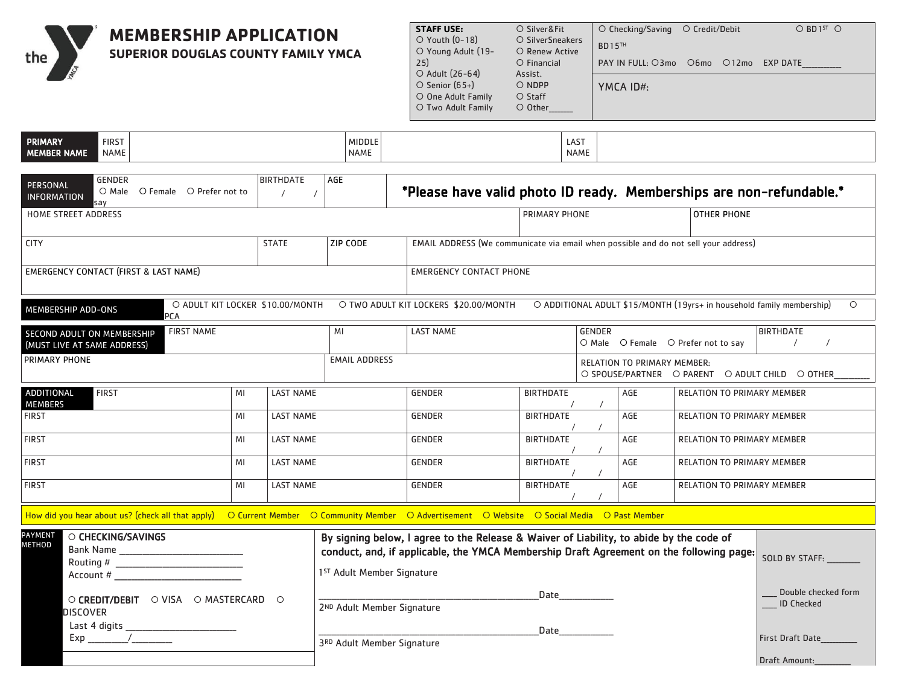**SUPERIOR DOUGLAS COUNTY FAMILY YMCA**

the

**MEMBERSHIP APPLICATION** 

| $\circ$ Checking/Saving |                            |  | $O$ BD1 <sup>5T</sup> $O$ |
|-------------------------|----------------------------|--|---------------------------|
|                         |                            |  |                           |
|                         |                            |  |                           |
| PAY IN FULL: O3mo       | O6mo                       |  | EXP DATE                  |
|                         |                            |  |                           |
|                         |                            |  |                           |
|                         |                            |  |                           |
|                         |                            |  |                           |
|                         | <b>BD15TH</b><br>YMCA ID#: |  | ○ Credit/Debit<br>O12mo   |

Double checked form

\_\_\_\_\_ ID Checked

First Draft Date\_\_\_\_\_\_\_\_\_\_\_\_

Draft Amount:

| <b>PRIMARY</b>     |              |             |             |
|--------------------|--------------|-------------|-------------|
|                    | <b>FIRST</b> | MIDDLE      | LAS1        |
| <b>MEMBER NAME</b> | <b>NAME</b>  | <b>NAME</b> | <b>NAME</b> |

| <b>GENDER</b><br>PERSONAL<br>O Male O Female O Prefer not to<br><b>INFORMATION</b><br>say                                                    |    | <b>BIRTHDATE</b>                 | AGE                                    | *Please have valid photo ID ready. Memberships are non-refundable.*                                                                                                                |                      |                         |                                    |                                   |                                                                                  |
|----------------------------------------------------------------------------------------------------------------------------------------------|----|----------------------------------|----------------------------------------|------------------------------------------------------------------------------------------------------------------------------------------------------------------------------------|----------------------|-------------------------|------------------------------------|-----------------------------------|----------------------------------------------------------------------------------|
| <b>HOME STREET ADDRESS</b>                                                                                                                   |    |                                  |                                        |                                                                                                                                                                                    | <b>PRIMARY PHONE</b> |                         |                                    | <b>OTHER PHONE</b>                |                                                                                  |
| <b>CITY</b>                                                                                                                                  |    | <b>STATE</b>                     | <b>ZIP CODE</b>                        | EMAIL ADDRESS (We communicate via email when possible and do not sell your address)                                                                                                |                      |                         |                                    |                                   |                                                                                  |
| EMERGENCY CONTACT (FIRST & LAST NAME)                                                                                                        |    |                                  |                                        | <b>EMERGENCY CONTACT PHONE</b>                                                                                                                                                     |                      |                         |                                    |                                   |                                                                                  |
| MEMBERSHIP ADD-ONS<br><b>PCA</b>                                                                                                             |    | O ADULT KIT LOCKER \$10.00/MONTH |                                        | O TWO ADULT KIT LOCKERS \$20.00/MONTH                                                                                                                                              |                      |                         |                                    |                                   | O ADDITIONAL ADULT \$15/MONTH (19yrs+ in household family membership)<br>$\circ$ |
| <b>FIRST NAME</b><br><b>SECOND ADULT ON MEMBERSHIP</b><br>(MUST LIVE AT SAME ADDRESS)                                                        |    |                                  | MI                                     | <b>LAST NAME</b><br><b>GENDER</b><br>O Male O Female O Prefer not to say                                                                                                           |                      |                         | <b>BIRTHDATE</b>                   |                                   |                                                                                  |
| <b>PRIMARY PHONE</b>                                                                                                                         |    |                                  | <b>EMAIL ADDRESS</b>                   |                                                                                                                                                                                    |                      |                         | <b>RELATION TO PRIMARY MEMBER:</b> |                                   | O SPOUSE/PARTNER O PARENT O ADULT CHILD O OTHER                                  |
| ADDITIONAL<br><b>FIRST</b><br><b>MEMBERS</b>                                                                                                 | MI | <b>LAST NAME</b>                 |                                        | <b>GENDER</b>                                                                                                                                                                      | <b>BIRTHDATE</b>     |                         | AGE                                | <b>RELATION TO PRIMARY MEMBER</b> |                                                                                  |
| <b>FIRST</b>                                                                                                                                 | MI | <b>LAST NAME</b>                 |                                        | <b>BIRTHDATE</b><br>AGE<br><b>GENDER</b><br><b>RELATION TO PRIMARY MEMBER</b>                                                                                                      |                      |                         |                                    |                                   |                                                                                  |
| <b>FIRST</b>                                                                                                                                 | MI | <b>LAST NAME</b>                 |                                        | <b>GENDER</b>                                                                                                                                                                      |                      | <b>BIRTHDATE</b><br>AGE |                                    | <b>RELATION TO PRIMARY MEMBER</b> |                                                                                  |
| <b>FIRST</b>                                                                                                                                 | MI | <b>LAST NAME</b>                 |                                        | <b>BIRTHDATE</b><br><b>GENDER</b>                                                                                                                                                  |                      | AGE                     | <b>RELATION TO PRIMARY MEMBER</b>  |                                   |                                                                                  |
| <b>FIRST</b>                                                                                                                                 | MI | <b>LAST NAME</b>                 |                                        | <b>BIRTHDATE</b><br><b>GENDER</b><br>AGE<br><b>RELATION TO PRIMARY MEMBER</b>                                                                                                      |                      |                         |                                    |                                   |                                                                                  |
| How did you hear about us? (check all that apply) O Current Member O Community Member O Advertisement O Website O Social Media O Past Member |    |                                  |                                        |                                                                                                                                                                                    |                      |                         |                                    |                                   |                                                                                  |
| <b>PAYMENT</b><br>O CHECKING/SAVINGS<br><b>METHOD</b><br>Routing #<br>Account #                                                              |    |                                  | 1 <sup>ST</sup> Adult Member Signature | By signing below, I agree to the Release & Waiver of Liability, to abide by the code of<br>conduct, and, if applicable, the YMCA Membership Draft Agreement on the following page: |                      |                         |                                    |                                   | SOLD BY STAFF:                                                                   |

|               | O CREDIT/DEBIT O VISA O MASTERCARD O |  |
|---------------|--------------------------------------|--|
| DISCOVER      |                                      |  |
| Last 4 digits |                                      |  |
| Exp           |                                      |  |

|                            | Date |
|----------------------------|------|
| 2ND Adult Member Signature |      |
|                            |      |
|                            | Date |

3RD Adult Member Signature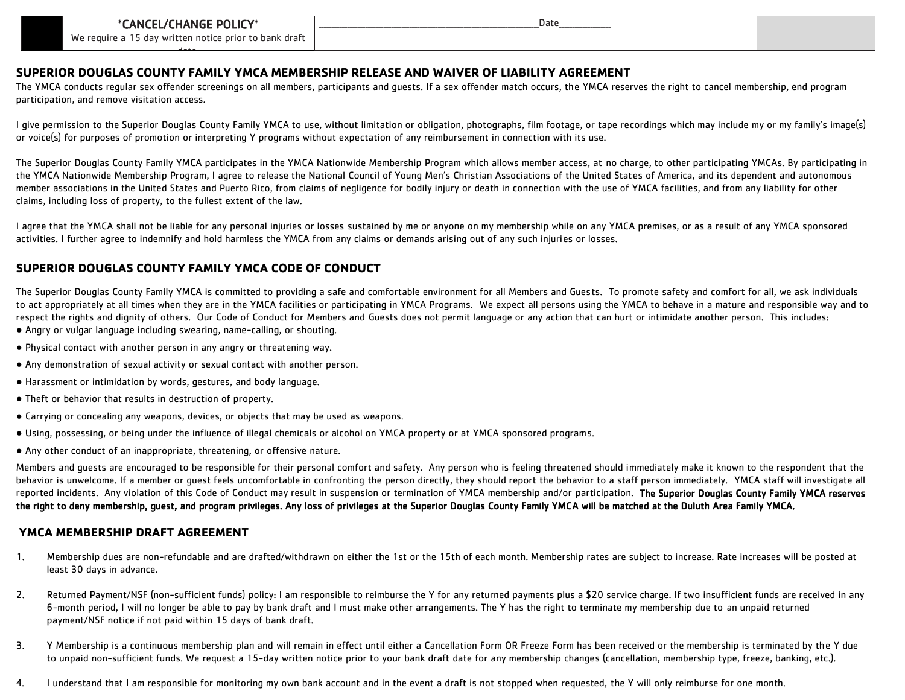

We require a 15 day written notice prior to bank draft date.

\_\_\_\_\_\_\_\_\_\_\_\_\_\_\_\_\_\_\_\_\_\_\_\_\_\_\_\_\_\_\_\_\_\_\_\_\_\_\_\_\_\_\_\_\_\_\_\_\_\_\_\_\_\_\_\_\_\_\_\_\_\_\_\_\_\_\_\_\_\_\_\_\_\_\_\_\_\_\_\_\_\_\_\_\_Date\_\_\_\_\_\_\_\_\_\_\_\_\_\_\_\_\_\_\_\_

## **SUPERIOR DOUGLAS COUNTY FAMILY YMCA MEMBERSHIP RELEASE AND WAIVER OF LIABILITY AGREEMENT**

The YMCA conducts regular sex offender screenings on all members, participants and guests. If a sex offender match occurs, the YMCA reserves the right to cancel membership, end program participation, and remove visitation access.

I give permission to the Superior Douglas County Family YMCA to use, without limitation or obligation, photographs, film footage, or tape recordings which may include my or my family's image(s) or voice(s) for purposes of promotion or interpreting Y programs without expectation of any reimbursement in connection with its use.

The Superior Douglas County Family YMCA participates in the YMCA Nationwide Membership Program which allows member access, at no charge, to other participating YMCAs. By participating in the YMCA Nationwide Membership Program, I agree to release the National Council of Young Men's Christian Associations of the United States of America, and its dependent and autonomous member associations in the United States and Puerto Rico, from claims of negligence for bodily injury or death in connection with the use of YMCA facilities, and from any liability for other claims, including loss of property, to the fullest extent of the law.

I agree that the YMCA shall not be liable for any personal injuries or losses sustained by me or anyone on my membership while on any YMCA premises, or as a result of any YMCA sponsored activities. I further agree to indemnify and hold harmless the YMCA from any claims or demands arising out of any such injuries or losses.

## **SUPERIOR DOUGLAS COUNTY FAMILY YMCA CODE OF CONDUCT**

The Superior Douglas County Family YMCA is committed to providing a safe and comfortable environment for all Members and Guests. To promote safety and comfort for all, we ask individuals to act appropriately at all times when they are in the YMCA facilities or participating in YMCA Programs. We expect all persons using the YMCA to behave in a mature and responsible way and to respect the rights and dignity of others. Our Code of Conduct for Members and Guests does not permit language or any action that can hurt or intimidate another person. This includes:

- Angry or vulgar language including swearing, name-calling, or shouting.
- Physical contact with another person in any angry or threatening way.
- Any demonstration of sexual activity or sexual contact with another person.
- Harassment or intimidation by words, gestures, and body language.
- Theft or behavior that results in destruction of property.
- Carrying or concealing any weapons, devices, or objects that may be used as weapons.
- Using, possessing, or being under the influence of illegal chemicals or alcohol on YMCA property or at YMCA sponsored programs.
- Any other conduct of an inappropriate, threatening, or offensive nature.

Members and guests are encouraged to be responsible for their personal comfort and safety. Any person who is feeling threatened should immediately make it known to the respondent that the behavior is unwelcome. If a member or guest feels uncomfortable in confronting the person directly, they should report the behavior to a staff person immediately. YMCA staff will investigate all reported incidents. Any violation of this Code of Conduct may result in suspension or termination of YMCA membership and/or participation. The Superior Douglas County Family YMCA reserves the right to deny membership, guest, and program privileges. Any loss of privileges at the Superior Douglas County Family YMCA will be matched at the Duluth Area Family YMCA.

## **YMCA MEMBERSHIP DRAFT AGREEMENT**

- 1. Membership dues are non-refundable and are drafted/withdrawn on either the 1st or the 15th of each month. Membership rates are subject to increase. Rate increases will be posted at least 30 days in advance.
- 2. Returned Payment/NSF (non-sufficient funds) policy: I am responsible to reimburse the Y for any returned payments plus a \$20 service charge. If two insufficient funds are received in any 6-month period, I will no longer be able to pay by bank draft and I must make other arrangements. The Y has the right to terminate my membership due to an unpaid returned payment/NSF notice if not paid within 15 days of bank draft.
- 3. Y Membership is a continuous membership plan and will remain in effect until either a Cancellation Form OR Freeze Form has been received or the membership is terminated by the Y due to unpaid non-sufficient funds. We request a 15-day written notice prior to your bank draft date for any membership changes (cancellation, membership type, freeze, banking, etc.).
- 4. I understand that I am responsible for monitoring my own bank account and in the event a draft is not stopped when requested, the Y will only reimburse for one month.